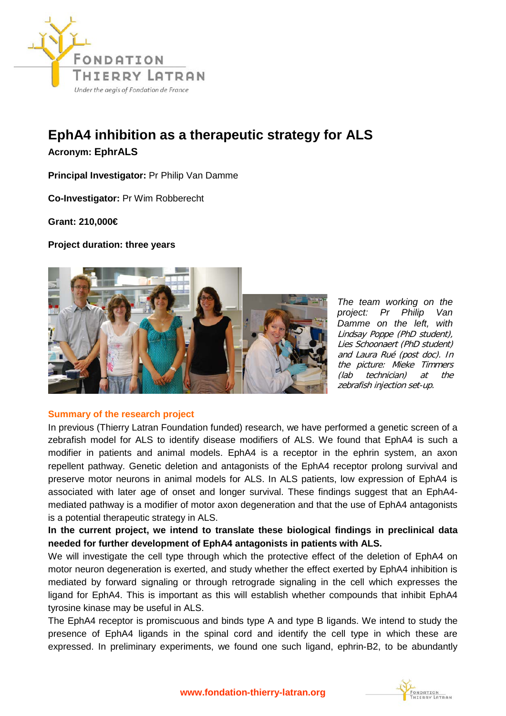

## **EphA4 inhibition as a therapeutic strategy for ALS**

**Acronym: EphrALS**

**Principal Investigator:** Pr Philip Van Damme

**Co-Investigator:** Pr Wim Robberecht

**Grant: 210,000€** 

**Project duration: three years**



*The team working on the project: Pr Philip Van Damme on the left, with*  Lindsay Poppe (PhD student), Lies Schoonaert (PhD student) and Laura Rué (post doc). In the picture: Mieke Timmers (lab technician) at the zebrafish injection set-up.

## **Summary of the research project**

In previous (Thierry Latran Foundation funded) research, we have performed a genetic screen of a zebrafish model for ALS to identify disease modifiers of ALS. We found that EphA4 is such a modifier in patients and animal models. EphA4 is a receptor in the ephrin system, an axon repellent pathway. Genetic deletion and antagonists of the EphA4 receptor prolong survival and preserve motor neurons in animal models for ALS. In ALS patients, low expression of EphA4 is associated with later age of onset and longer survival. These findings suggest that an EphA4 mediated pathway is a modifier of motor axon degeneration and that the use of EphA4 antagonists is a potential therapeutic strategy in ALS.

**In the current project, we intend to translate these biological findings in preclinical data needed for further development of EphA4 antagonists in patients with ALS.** 

We will investigate the cell type through which the protective effect of the deletion of EphA4 on motor neuron degeneration is exerted, and study whether the effect exerted by EphA4 inhibition is mediated by forward signaling or through retrograde signaling in the cell which expresses the ligand for EphA4. This is important as this will establish whether compounds that inhibit EphA4 tyrosine kinase may be useful in ALS.

The EphA4 receptor is promiscuous and binds type A and type B ligands. We intend to study the presence of EphA4 ligands in the spinal cord and identify the cell type in which these are expressed. In preliminary experiments, we found one such ligand, ephrin-B2, to be abundantly